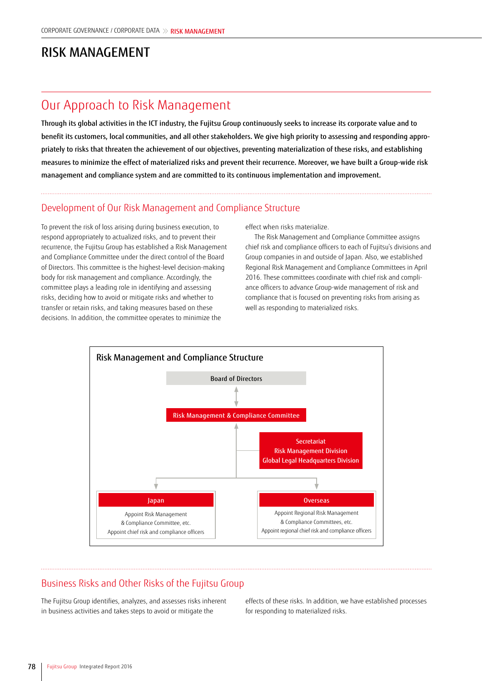# RISK MANAGEMENT

## Our Approach to Risk Management

Through its global activities in the ICT industry, the Fujitsu Group continuously seeks to increase its corporate value and to benefit its customers, local communities, and all other stakeholders. We give high priority to assessing and responding appropriately to risks that threaten the achievement of our objectives, preventing materialization of these risks, and establishing measures to minimize the effect of materialized risks and prevent their recurrence. Moreover, we have built a Group-wide risk management and compliance system and are committed to its continuous implementation and improvement.

#### Development of Our Risk Management and Compliance Structure

To prevent the risk of loss arising during business execution, to respond appropriately to actualized risks, and to prevent their recurrence, the Fujitsu Group has established a Risk Management and Compliance Committee under the direct control of the Board of Directors. This committee is the highest-level decision-making body for risk management and compliance. Accordingly, the committee plays a leading role in identifying and assessing risks, deciding how to avoid or mitigate risks and whether to transfer or retain risks, and taking measures based on these decisions. In addition, the committee operates to minimize the

effect when risks materialize.

The Risk Management and Compliance Committee assigns chief risk and compliance officers to each of Fujitsu's divisions and Group companies in and outside of Japan. Also, we established Regional Risk Management and Compliance Committees in April 2016. These committees coordinate with chief risk and compliance officers to advance Group-wide management of risk and compliance that is focused on preventing risks from arising as well as responding to materialized risks.



#### Business Risks and Other Risks of the Fujitsu Group

The Fujitsu Group identifies, analyzes, and assesses risks inherent in business activities and takes steps to avoid or mitigate the

effects of these risks. In addition, we have established processes for responding to materialized risks.